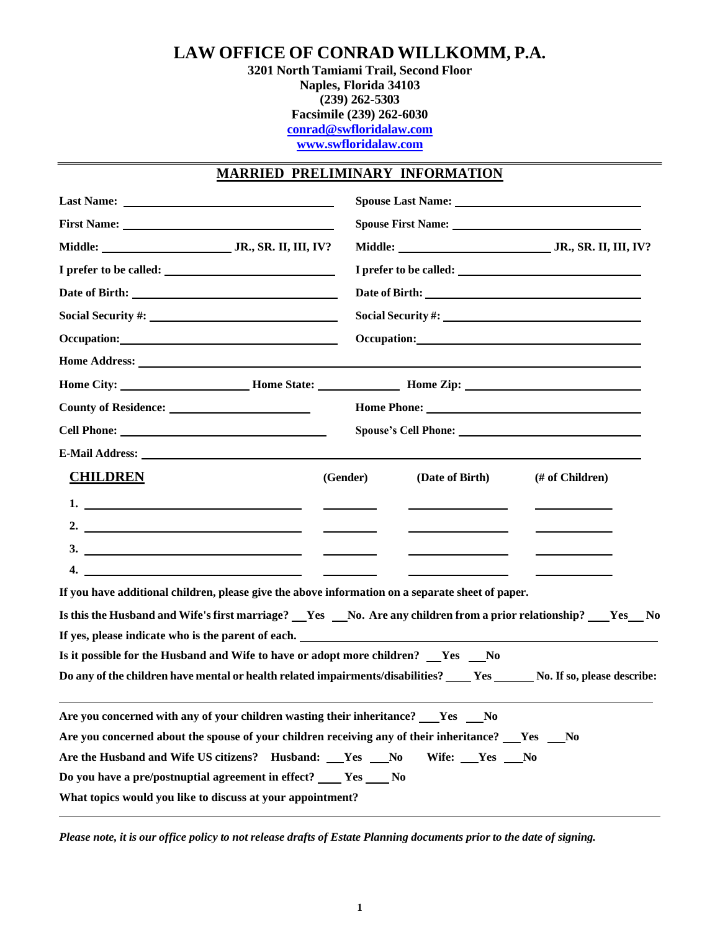# **LAW OFFICE OF CONRAD WILLKOMM, P.A.**

**3201 North Tamiami Trail, Second Floor Naples, Florida 34103 (239) 262-5303 Facsimile (239) 262-6030 [conrad@swfloridalaw.com](mailto:conrad@swfloridalaw.com) [www.swfloridalaw.com](http://www.swfloridalaw.com/)**

# **MARRIED PRELIMINARY INFORMATION**

| Occupation:                                                                                           | Occupation:                                                                                                                 |  |  |  |  |
|-------------------------------------------------------------------------------------------------------|-----------------------------------------------------------------------------------------------------------------------------|--|--|--|--|
|                                                                                                       |                                                                                                                             |  |  |  |  |
|                                                                                                       | Home City: ___________________________Home State: ____________________Home Zip: ______________________________              |  |  |  |  |
|                                                                                                       | Home Phone:                                                                                                                 |  |  |  |  |
|                                                                                                       |                                                                                                                             |  |  |  |  |
|                                                                                                       |                                                                                                                             |  |  |  |  |
| <b>CHILDREN</b>                                                                                       | (Gender)<br>(Date of Birth)<br>(# of Children)                                                                              |  |  |  |  |
|                                                                                                       |                                                                                                                             |  |  |  |  |
| 2. $\overline{\phantom{a}}$                                                                           |                                                                                                                             |  |  |  |  |
|                                                                                                       |                                                                                                                             |  |  |  |  |
|                                                                                                       | $\overline{\phantom{a}}$                                                                                                    |  |  |  |  |
| If you have additional children, please give the above information on a separate sheet of paper.      |                                                                                                                             |  |  |  |  |
| If yes, please indicate who is the parent of each.                                                    | Is this the Husband and Wife's first marriage? __Yes __No. Are any children from a prior relationship? __Yes_No             |  |  |  |  |
| Is it possible for the Husband and Wife to have or adopt more children? __Yes __No                    |                                                                                                                             |  |  |  |  |
|                                                                                                       | Do any of the children have mental or health related impairments/disabilities? _____ Yes ______ No. If so, please describe: |  |  |  |  |
| Are you concerned with any of your children wasting their inheritance? ____Yes ____No                 |                                                                                                                             |  |  |  |  |
| Are you concerned about the spouse of your children receiving any of their inheritance? Ses Sesman No |                                                                                                                             |  |  |  |  |
| Are the Husband and Wife US citizens? Husband: Ves __No                                               | Wife: <u>Yes</u> No                                                                                                         |  |  |  |  |
| Do you have a pre/postnuptial agreement in effect? _____ Yes _____ No                                 |                                                                                                                             |  |  |  |  |
| What topics would you like to discuss at your appointment?                                            |                                                                                                                             |  |  |  |  |

Please note, it is our office policy to not release drafts of Estate Planning documents prior to the date of signing.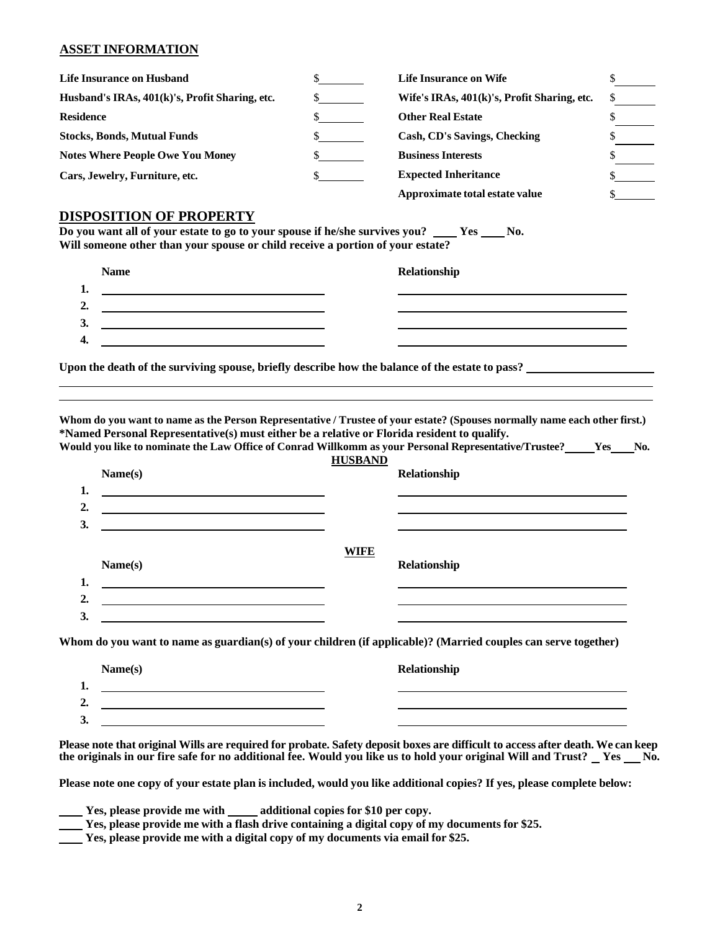## **ASSET INFORMATION**

| <b>Life Insurance on Husband</b>               | <b>Life Insurance on Wife</b>               |  |
|------------------------------------------------|---------------------------------------------|--|
| Husband's IRAs, 401(k)'s, Profit Sharing, etc. | Wife's IRAs, 401(k)'s, Profit Sharing, etc. |  |
| <b>Residence</b>                               | <b>Other Real Estate</b>                    |  |
| <b>Stocks, Bonds, Mutual Funds</b>             | Cash, CD's Savings, Checking                |  |
| <b>Notes Where People Owe You Money</b>        | <b>Business Interests</b>                   |  |
| Cars, Jewelry, Furniture, etc.                 | <b>Expected Inheritance</b>                 |  |
|                                                | Approximate total estate value              |  |

#### **DISPOSITION OF PROPERTY**

Do you want all of your estate to go to your spouse if he/she survives you? \_\_\_\_Yes \_\_\_\_No. **Will someone other than your spouse or child receive a portion of your estate?**

|     | <b>Name</b> | Relationship |
|-----|-------------|--------------|
| . . |             |              |
| 2.  |             |              |
| 3.  |             |              |
| 4.  |             |              |
|     |             |              |

**Upon the death of the surviving spouse, briefly describe how the balance of the estate to pass?**

Whom do you want to name as the Person Representative / Trustee of your estate? (Spouses normally name each other first.) **\*Named Personal Representative(s) must either be a relative or Florida resident to qualify.** Would you like to nominate the Law Office of Conrad Willkomm as your Personal Representative/Trustee?\_\_\_\_\_Yes\_\_\_No.

| Name(s)                                                                                                               | <b>Relationship</b> |
|-----------------------------------------------------------------------------------------------------------------------|---------------------|
| <u> 1989 - Johann Barbara, martin amerikan basar dan berasal dan berasal dalam basar dalam basar dalam basar dala</u> |                     |
|                                                                                                                       |                     |
|                                                                                                                       | <b>WIFE</b>         |
| Name(s)                                                                                                               | Relationship        |
| <u> 1989 - Johann Stoff, Amerikaansk politiker (</u>                                                                  |                     |
|                                                                                                                       |                     |

| Name(s) | Relationship |
|---------|--------------|
| ı.      |              |
| ↑<br>∸. |              |
| 3.      |              |

Please note that original Wills are required for probate. Safety deposit boxes are difficult to access after death. We can keep the originals in our fire safe for no additional fee. Would you like us to hold your original Will and Trust? \_Yes \_No.

Please note one copy of your estate plan is included, would you like additional copies? If yes, please complete below:

| Yes, please provide me with | additional copies for \$10 per copy. |  |
|-----------------------------|--------------------------------------|--|
|                             |                                      |  |

**Yes, please provide me with a flash drive containing a digital copy of my documents for \$25.**

**Yes, please provide me with a digital copy of my documents via email for \$25.**